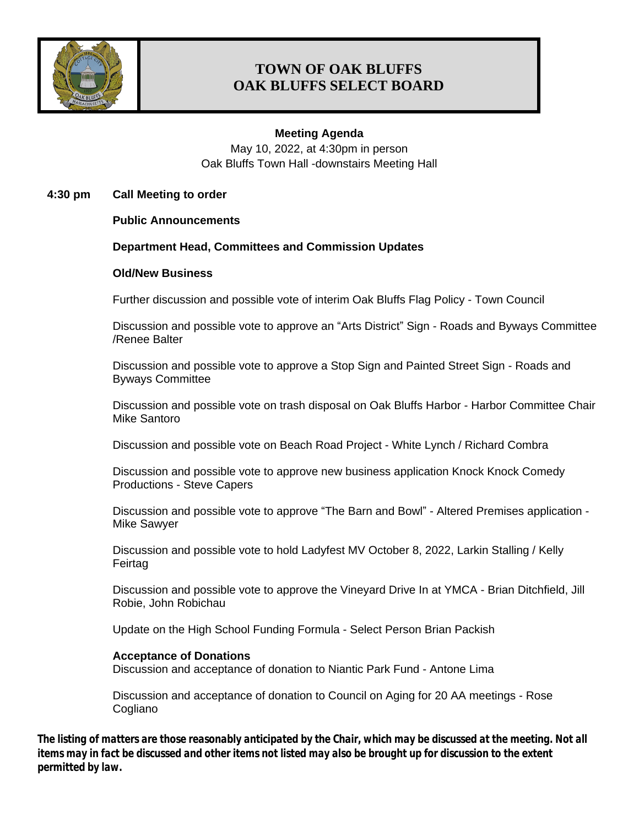

## **TOWN OF OAK BLUFFS OAK BLUFFS SELECT BOARD**

### **Meeting Agenda**

May 10, 2022, at 4:30pm in person Oak Bluffs Town Hall -downstairs Meeting Hall

**4:30 pm Call Meeting to order**

**Public Announcements**

#### **Department Head, Committees and Commission Updates**

#### **Old/New Business**

Further discussion and possible vote of interim Oak Bluffs Flag Policy - Town Council

Discussion and possible vote to approve an "Arts District" Sign - Roads and Byways Committee /Renee Balter

Discussion and possible vote to approve a Stop Sign and Painted Street Sign - Roads and Byways Committee

Discussion and possible vote on trash disposal on Oak Bluffs Harbor - Harbor Committee Chair Mike Santoro

Discussion and possible vote on Beach Road Project - White Lynch / Richard Combra

Discussion and possible vote to approve new business application Knock Knock Comedy Productions - Steve Capers

Discussion and possible vote to approve "The Barn and Bowl" - Altered Premises application - Mike Sawyer

Discussion and possible vote to hold Ladyfest MV October 8, 2022, Larkin Stalling / Kelly Feirtag

Discussion and possible vote to approve the Vineyard Drive In at YMCA - Brian Ditchfield, Jill Robie, John Robichau

Update on the High School Funding Formula - Select Person Brian Packish

#### **Acceptance of Donations**

Discussion and acceptance of donation to Niantic Park Fund - Antone Lima

Discussion and acceptance of donation to Council on Aging for 20 AA meetings - Rose **Cogliano** 

*The listing of matters are those reasonably anticipated by the Chair, which may be discussed at the meeting. Not all items may in fact be discussed and other items not listed may also be brought up for discussion to the extent permitted by law.*